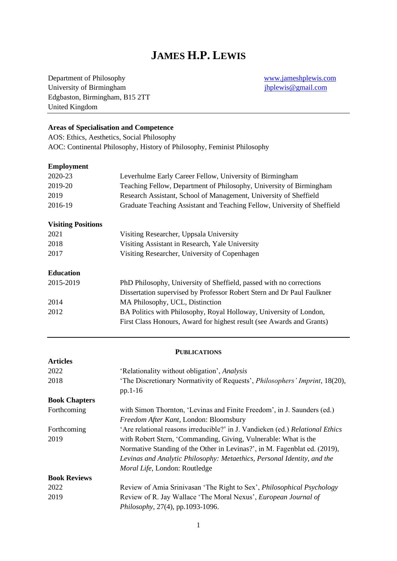# **JAMES H.P. LEWIS**

Department of Philosophy [www.jameshplewis.com](http://www.jameshplewis.com/) University of Birmingham [jhplewis@gmail.com](mailto:jhplewis@gmail.com) Edgbaston, Birmingham, B15 2TT United Kingdom

### **Areas of Specialisation and Competence**

AOS: Ethics, Aesthetics, Social Philosophy AOC: Continental Philosophy, History of Philosophy, Feminist Philosophy

#### **Employment**

| 2020-23                   | Leverhulme Early Career Fellow, University of Birmingham                 |
|---------------------------|--------------------------------------------------------------------------|
| 2019-20                   | Teaching Fellow, Department of Philosophy, University of Birmingham      |
| 2019                      | Research Assistant, School of Management, University of Sheffield        |
| 2016-19                   | Graduate Teaching Assistant and Teaching Fellow, University of Sheffield |
| <b>Visiting Positions</b> |                                                                          |
| 2021                      | Visiting Researcher, Uppsala University                                  |
| 2018                      | Visiting Assistant in Research, Yale University                          |
| 2017                      | Visiting Researcher, University of Copenhagen                            |
| <b>Education</b>          |                                                                          |
| 2015-2019                 | PhD Philosophy, University of Sheffield, passed with no corrections      |
|                           | Dissertation supervised by Professor Robert Stern and Dr Paul Faulkner   |
| 2014                      | MA Philosophy, UCL, Distinction                                          |
| 2012                      | BA Politics with Philosophy, Royal Holloway, University of London,       |
|                           | First Class Honours, Award for highest result (see Awards and Grants)    |

#### **PUBLICATIONS**

| <b>Articles</b>      |                                                                               |
|----------------------|-------------------------------------------------------------------------------|
| 2022                 | 'Relationality without obligation', Analysis                                  |
| 2018                 | 'The Discretionary Normativity of Requests', Philosophers' Imprint, 18(20),   |
|                      | pp.1-16                                                                       |
| <b>Book Chapters</b> |                                                                               |
| Forthcoming          | with Simon Thornton, 'Levinas and Finite Freedom', in J. Saunders (ed.)       |
|                      | Freedom After Kant, London: Bloomsbury                                        |
| Forthcoming          | 'Are relational reasons irreducible?' in J. Vandieken (ed.) Relational Ethics |
| 2019                 | with Robert Stern, 'Commanding, Giving, Vulnerable: What is the               |
|                      | Normative Standing of the Other in Levinas?', in M. Fagenblat ed. (2019),     |
|                      | Levinas and Analytic Philosophy: Metaethics, Personal Identity, and the       |
|                      | Moral Life, London: Routledge                                                 |
| <b>Book Reviews</b>  |                                                                               |
| 2022                 | Review of Amia Srinivasan 'The Right to Sex', <i>Philosophical Psychology</i> |
| 2019                 | Review of R. Jay Wallace 'The Moral Nexus', European Journal of               |
|                      | Philosophy, 27(4), pp.1093-1096.                                              |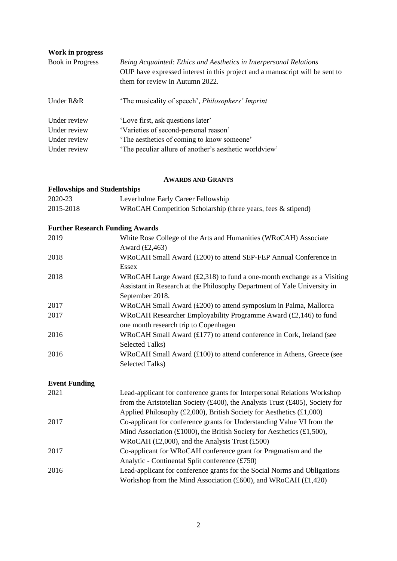| Work in progress |                                                                                                                                                                                       |
|------------------|---------------------------------------------------------------------------------------------------------------------------------------------------------------------------------------|
| Book in Progress | Being Acquainted: Ethics and Aesthetics in Interpersonal Relations<br>OUP have expressed interest in this project and a manuscript will be sent to<br>them for review in Autumn 2022. |
| Under R&R        | 'The musicality of speech', Philosophers' Imprint                                                                                                                                     |
| Under review     | 'Love first, ask questions later'                                                                                                                                                     |
| Under review     | 'Varieties of second-personal reason'                                                                                                                                                 |
| Under review     | 'The aesthetics of coming to know someone'                                                                                                                                            |
| Under review     | 'The peculiar allure of another's aesthetic worldview'                                                                                                                                |

### **AWARDS AND GRANTS**

## **Fellowships and Studentships**

| 2020-23   | Leverhulme Early Career Fellowship                           |
|-----------|--------------------------------------------------------------|
| 2015-2018 | WRoCAH Competition Scholarship (three years, fees & stipend) |

### **Further Research Funding Awards**

| 2019 | White Rose College of the Arts and Humanities (WRoCAH) Associate                      |
|------|---------------------------------------------------------------------------------------|
|      | Award $(E2,463)$                                                                      |
| 2018 | WRoCAH Small Award (£200) to attend SEP-FEP Annual Conference in                      |
|      | Essex                                                                                 |
| 2018 | WRoCAH Large Award $(\text{\pounds}2,318)$ to fund a one-month exchange as a Visiting |
|      | Assistant in Research at the Philosophy Department of Yale University in              |
|      | September 2018.                                                                       |
| 2017 | WRoCAH Small Award (£200) to attend symposium in Palma, Mallorca                      |
| 2017 | WRoCAH Researcher Employability Programme Award (£2,146) to fund                      |
|      | one month research trip to Copenhagen                                                 |
| 2016 | WRoCAH Small Award $(£177)$ to attend conference in Cork, Ireland (see                |
|      | Selected Talks)                                                                       |
| 2016 | WRoCAH Small Award $(\text{\pounds}100)$ to attend conference in Athens, Greece (see  |
|      | Selected Talks)                                                                       |
|      |                                                                                       |

### **Event Funding**

| 2021 | Lead-applicant for conference grants for Interpersonal Relations Workshop     |
|------|-------------------------------------------------------------------------------|
|      | from the Aristotelian Society (£400), the Analysis Trust (£405), Society for  |
|      | Applied Philosophy (£2,000), British Society for Aesthetics (£1,000)          |
| 2017 | Co-applicant for conference grants for Understanding Value VI from the        |
|      | Mind Association (£1000), the British Society for Aesthetics (£1,500),        |
|      | WRoCAH $(\text{\pounds}2,000)$ , and the Analysis Trust $(\text{\pounds}500)$ |
| 2017 | Co-applicant for WRoCAH conference grant for Pragmatism and the               |
|      | Analytic - Continental Split conference $(\text{\pounds}750)$                 |
| 2016 | Lead-applicant for conference grants for the Social Norms and Obligations     |
|      | Workshop from the Mind Association (£600), and WRoCAH $(£1,420)$              |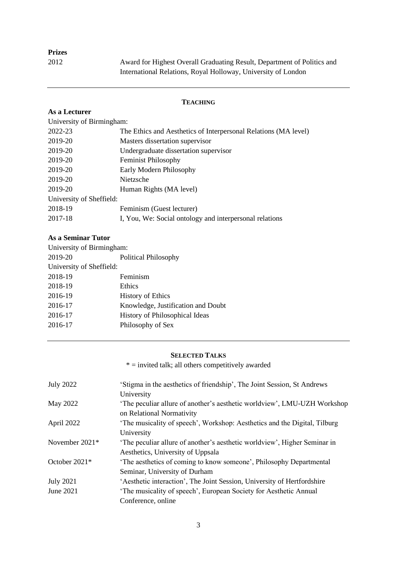2012 Award for Highest Overall Graduating Result, Department of Politics and International Relations, Royal Holloway, University of London

### **TEACHING**

### **As a Lecturer**

| University of Birmingham: |                                                                 |
|---------------------------|-----------------------------------------------------------------|
| 2022-23                   | The Ethics and Aesthetics of Interpersonal Relations (MA level) |
| 2019-20                   | Masters dissertation supervisor                                 |
| 2019-20                   | Undergraduate dissertation supervisor                           |
| 2019-20                   | <b>Feminist Philosophy</b>                                      |
| 2019-20                   | Early Modern Philosophy                                         |
| 2019-20                   | Nietzsche                                                       |
| 2019-20                   | Human Rights (MA level)                                         |
| University of Sheffield:  |                                                                 |
| 2018-19                   | Feminism (Guest lecturer)                                       |
| 2017-18                   | I, You, We: Social ontology and interpersonal relations         |
|                           |                                                                 |

### **As a Seminar Tutor**

| University of Birmingham: |                                    |  |
|---------------------------|------------------------------------|--|
| 2019-20                   | Political Philosophy               |  |
| University of Sheffield:  |                                    |  |
| 2018-19                   | Feminism                           |  |
| 2018-19                   | <b>Ethics</b>                      |  |
| 2016-19                   | <b>History of Ethics</b>           |  |
| 2016-17                   | Knowledge, Justification and Doubt |  |
| 2016-17                   | History of Philosophical Ideas     |  |
| 2016-17                   | Philosophy of Sex                  |  |
|                           |                                    |  |

### **SELECTED TALKS**

 $*$  = invited talk; all others competitively awarded

| <b>July 2022</b> | 'Stigma in the aesthetics of friendship', The Joint Session, St Andrews   |
|------------------|---------------------------------------------------------------------------|
|                  | University                                                                |
| May 2022         | 'The peculiar allure of another's aesthetic worldview', LMU-UZH Workshop  |
|                  | on Relational Normativity                                                 |
| April 2022       | 'The musicality of speech', Workshop: Aesthetics and the Digital, Tilburg |
|                  | University                                                                |
| November 2021*   | 'The peculiar allure of another's aesthetic worldview', Higher Seminar in |
|                  | Aesthetics, University of Uppsala                                         |
| October 2021*    | 'The aesthetics of coming to know someone', Philosophy Departmental       |
|                  | Seminar, University of Durham                                             |
| <b>July 2021</b> | 'Aesthetic interaction', The Joint Session, University of Hertfordshire   |
| June 2021        | 'The musicality of speech', European Society for Aesthetic Annual         |
|                  | Conference, online                                                        |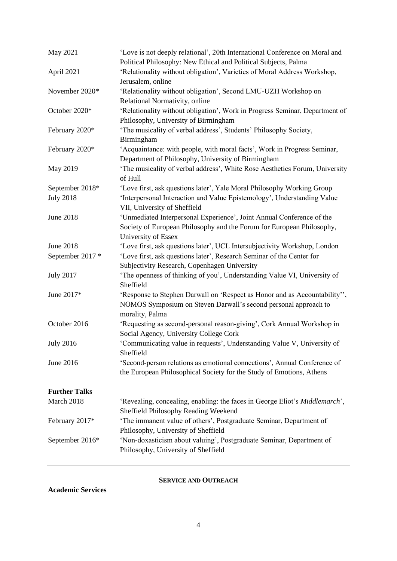| May 2021                            | 'Love is not deeply relational', 20th International Conference on Moral and<br>Political Philosophy: New Ethical and Political Subjects, Palma                                    |
|-------------------------------------|-----------------------------------------------------------------------------------------------------------------------------------------------------------------------------------|
| April 2021                          | 'Relationality without obligation', Varieties of Moral Address Workshop,<br>Jerusalem, online                                                                                     |
| November 2020*                      | 'Relationality without obligation', Second LMU-UZH Workshop on<br>Relational Normativity, online                                                                                  |
| October 2020*                       | 'Relationality without obligation', Work in Progress Seminar, Department of<br>Philosophy, University of Birmingham                                                               |
| February 2020*                      | 'The musicality of verbal address', Students' Philosophy Society,<br>Birmingham                                                                                                   |
| February 2020*                      | 'Acquaintance: with people, with moral facts', Work in Progress Seminar,<br>Department of Philosophy, University of Birmingham                                                    |
| May 2019                            | 'The musicality of verbal address', White Rose Aesthetics Forum, University<br>of Hull                                                                                            |
| September 2018*<br><b>July 2018</b> | 'Love first, ask questions later', Yale Moral Philosophy Working Group<br>'Interpersonal Interaction and Value Epistemology', Understanding Value<br>VII, University of Sheffield |
| <b>June 2018</b>                    | 'Unmediated Interpersonal Experience', Joint Annual Conference of the<br>Society of European Philosophy and the Forum for European Philosophy,<br>University of Essex             |
| <b>June 2018</b>                    | 'Love first, ask questions later', UCL Intersubjectivity Workshop, London                                                                                                         |
| September 2017 *                    | 'Love first, ask questions later', Research Seminar of the Center for<br>Subjectivity Research, Copenhagen University                                                             |
| <b>July 2017</b>                    | 'The openness of thinking of you', Understanding Value VI, University of<br>Sheffield                                                                                             |
| June 2017*                          | 'Response to Stephen Darwall on 'Respect as Honor and as Accountability'',<br>NOMOS Symposium on Steven Darwall's second personal approach to<br>morality, Palma                  |
| October 2016                        | 'Requesting as second-personal reason-giving', Cork Annual Workshop in<br>Social Agency, University College Cork                                                                  |
| <b>July 2016</b>                    | 'Communicating value in requests', Understanding Value V, University of<br>Sheffield                                                                                              |
| June 2016                           | 'Second-person relations as emotional connections', Annual Conference of<br>the European Philosophical Society for the Study of Emotions, Athens                                  |
| <b>Further Talks</b>                |                                                                                                                                                                                   |
| March 2018                          | 'Revealing, concealing, enabling: the faces in George Eliot's Middlemarch',<br>Sheffield Philosophy Reading Weekend                                                               |
| February 2017*                      | 'The immanent value of others', Postgraduate Seminar, Department of<br>Philosophy, University of Sheffield                                                                        |
| September 2016*                     | 'Non-doxasticism about valuing', Postgraduate Seminar, Department of<br>Philosophy, University of Sheffield                                                                       |

### **SERVICE AND OUTREACH**

**Academic Services**